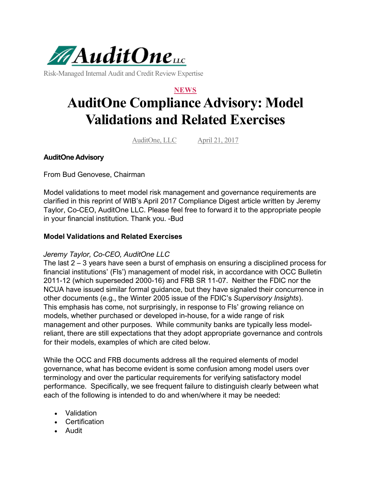

Risk-Managed Internal Audit and Credit Review Expertise

## **NEWS AuditOne Compliance Advisory: Model Validations and Related Exercises**

AuditOne, LLC April 21, 2017

## **AuditOne Advisory**

From Bud Genovese, Chairman

Model validations to meet model risk management and governance requirements are clarified in this reprint of WIB's April 2017 Compliance Digest article written by Jeremy Taylor, Co-CEO, AuditOne LLC. Please feel free to forward it to the appropriate people in your financial institution. Thank you. -Bud

## **Model Validations and Related Exercises**

## *Jeremy Taylor, Co-CEO, AuditOne LLC*

The last 2 – 3 years have seen a burst of emphasis on ensuring a disciplined process for financial institutions' (FIs') management of model risk, in accordance with OCC Bulletin 2011-12 (which superseded 2000-16) and FRB SR 11-07. Neither the FDIC nor the NCUA have issued similar formal guidance, but they have signaled their concurrence in other documents (e.g., the Winter 2005 issue of the FDIC's *Supervisory Insights*). This emphasis has come, not surprisingly, in response to FIs' growing reliance on models, whether purchased or developed in-house, for a wide range of risk management and other purposes. While community banks are typically less modelreliant, there are still expectations that they adopt appropriate governance and controls for their models, examples of which are cited below.

While the OCC and FRB documents address all the required elements of model governance, what has become evident is some confusion among model users over terminology and over the particular requirements for verifying satisfactory model performance. Specifically, we see frequent failure to distinguish clearly between what each of the following is intended to do and when/where it may be needed:

- Validation
- Certification
- Audit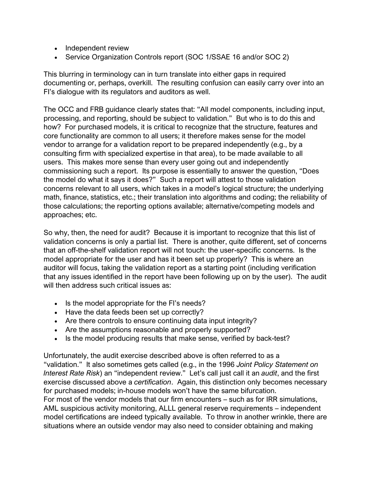- Independent review
- Service Organization Controls report (SOC 1/SSAE 16 and/or SOC 2)

This blurring in terminology can in turn translate into either gaps in required documenting or, perhaps, overkill. The resulting confusion can easily carry over into an FI's dialogue with its regulators and auditors as well.

The OCC and FRB guidance clearly states that: "All model components, including input, processing, and reporting, should be subject to validation." But who is to do this and how? For purchased models, it is critical to recognize that the structure, features and core functionality are common to all users; it therefore makes sense for the model vendor to arrange for a validation report to be prepared independently (e.g., by a consulting firm with specialized expertise in that area), to be made available to all users. This makes more sense than every user going out and independently commissioning such a report. Its purpose is essentially to answer the question, "Does the model do what it says it does?" Such a report will attest to those validation concerns relevant to all users, which takes in a model's logical structure; the underlying math, finance, statistics, etc.; their translation into algorithms and coding; the reliability of those calculations; the reporting options available; alternative/competing models and approaches; etc.

So why, then, the need for audit? Because it is important to recognize that this list of validation concerns is only a partial list. There is another, quite different, set of concerns that an off-the-shelf validation report will not touch: the user-specific concerns. Is the model appropriate for the user and has it been set up properly? This is where an auditor will focus, taking the validation report as a starting point (including verification that any issues identified in the report have been following up on by the user). The audit will then address such critical issues as:

- Is the model appropriate for the FI's needs?
- Have the data feeds been set up correctly?
- Are there controls to ensure continuing data input integrity?
- Are the assumptions reasonable and properly supported?
- Is the model producing results that make sense, verified by back-test?

Unfortunately, the audit exercise described above is often referred to as a "validation." It also sometimes gets called (e.g., in the 1996 *Joint Policy Statement on Interest Rate Risk*) an "independent review." Let's call just call it an *audit*, and the first exercise discussed above a *certification*. Again, this distinction only becomes necessary for purchased models; in-house models won't have the same bifurcation. For most of the vendor models that our firm encounters – such as for IRR simulations, AML suspicious activity monitoring, ALLL general reserve requirements – independent model certifications are indeed typically available. To throw in another wrinkle, there are

situations where an outside vendor may also need to consider obtaining and making